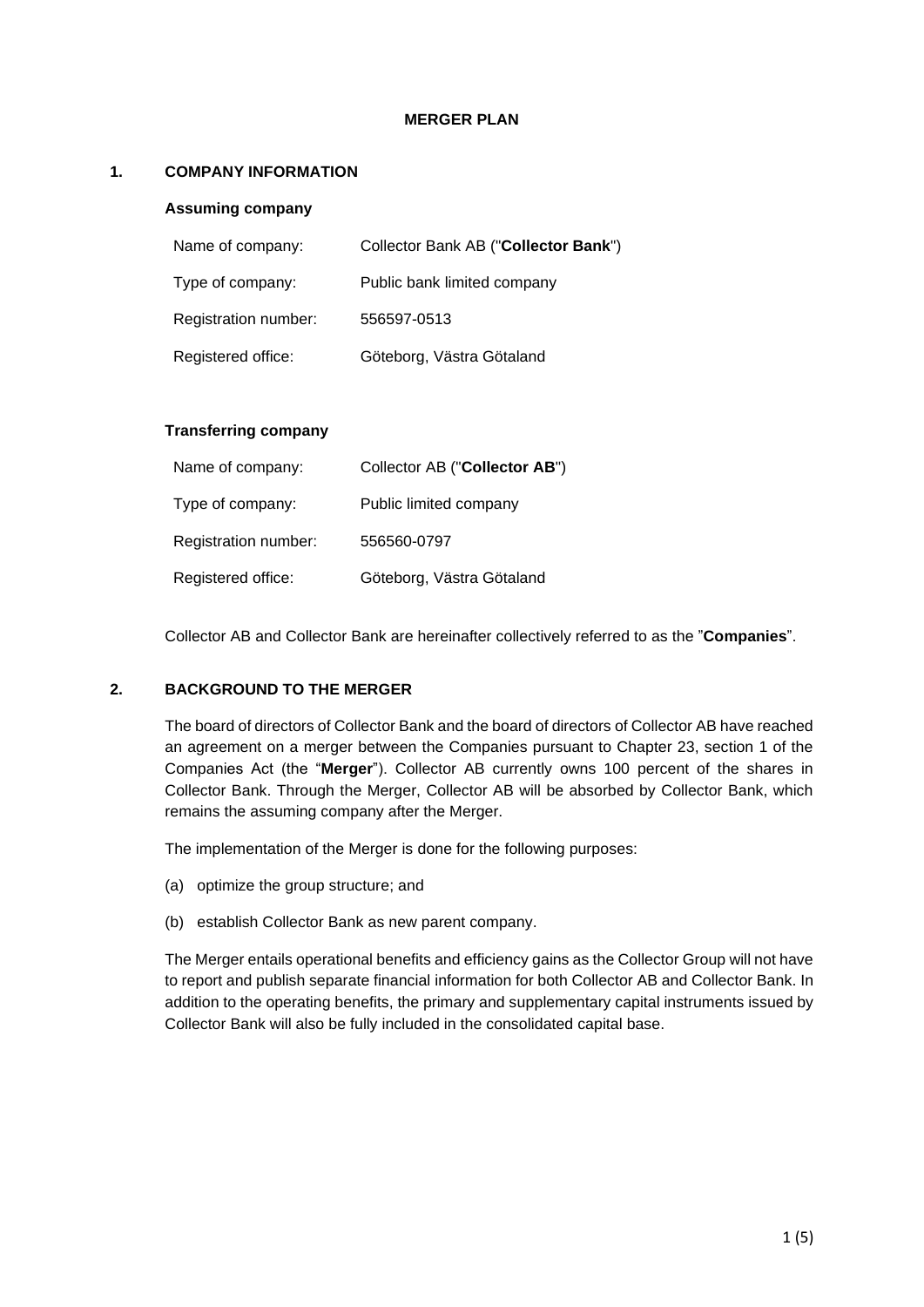#### **MERGER PLAN**

# **1. COMPANY INFORMATION**

#### **Assuming company**

| Name of company:     | Collector Bank AB ("Collector Bank") |
|----------------------|--------------------------------------|
| Type of company:     | Public bank limited company          |
| Registration number: | 556597-0513                          |
| Registered office:   | Göteborg, Västra Götaland            |

# **Transferring company**

| Name of company:     | Collector AB ("Collector AB") |
|----------------------|-------------------------------|
| Type of company:     | Public limited company        |
| Registration number: | 556560-0797                   |
| Registered office:   | Göteborg, Västra Götaland     |

Collector AB and Collector Bank are hereinafter collectively referred to as the "**Companies**".

# **2. BACKGROUND TO THE MERGER**

The board of directors of Collector Bank and the board of directors of Collector AB have reached an agreement on a merger between the Companies pursuant to Chapter 23, section 1 of the Companies Act (the "**Merger**"). Collector AB currently owns 100 percent of the shares in Collector Bank. Through the Merger, Collector AB will be absorbed by Collector Bank, which remains the assuming company after the Merger.

The implementation of the Merger is done for the following purposes:

- (a) optimize the group structure; and
- (b) establish Collector Bank as new parent company.

The Merger entails operational benefits and efficiency gains as the Collector Group will not have to report and publish separate financial information for both Collector AB and Collector Bank. In addition to the operating benefits, the primary and supplementary capital instruments issued by Collector Bank will also be fully included in the consolidated capital base.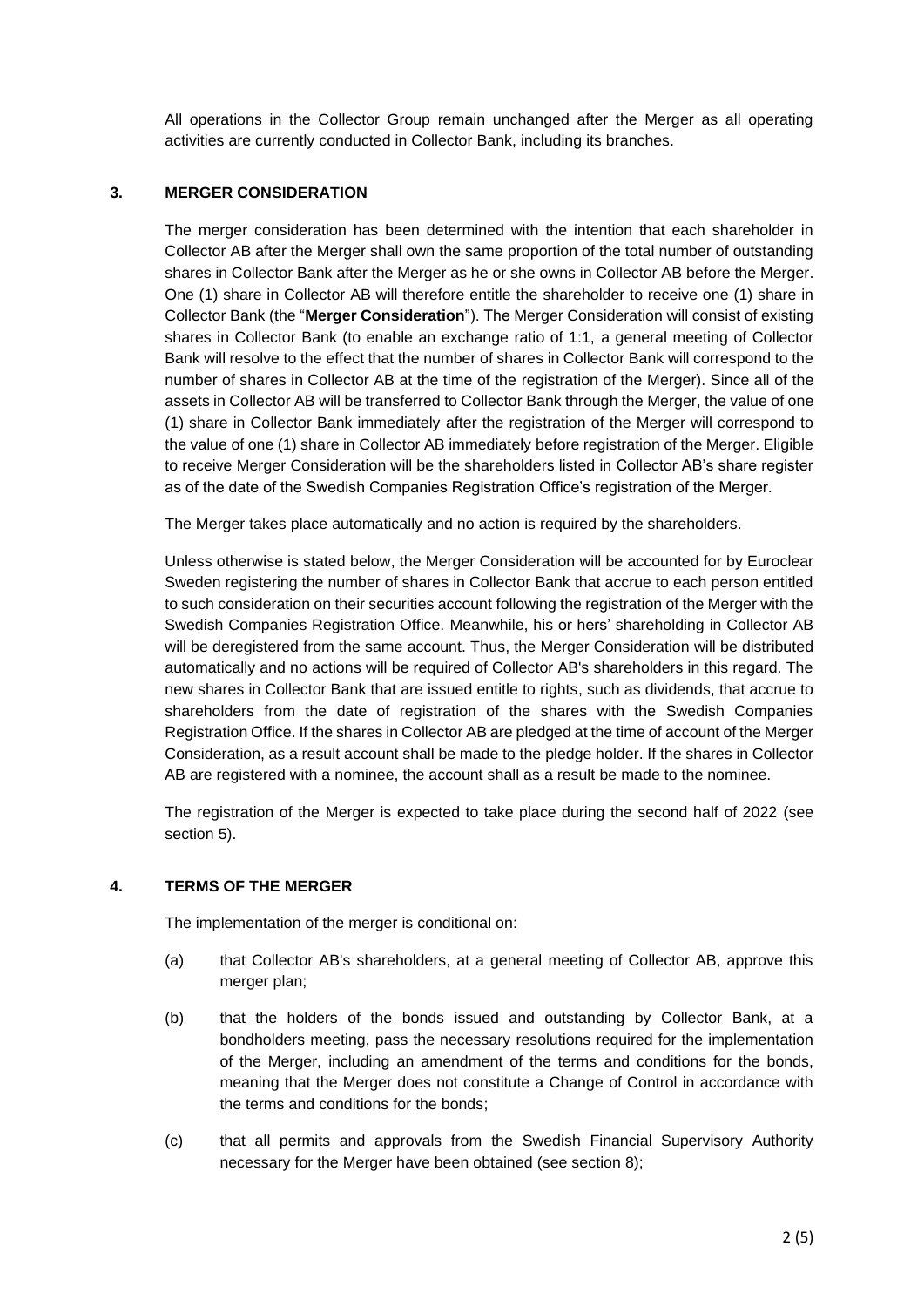All operations in the Collector Group remain unchanged after the Merger as all operating activities are currently conducted in Collector Bank, including its branches.

# **3. MERGER CONSIDERATION**

The merger consideration has been determined with the intention that each shareholder in Collector AB after the Merger shall own the same proportion of the total number of outstanding shares in Collector Bank after the Merger as he or she owns in Collector AB before the Merger. One (1) share in Collector AB will therefore entitle the shareholder to receive one (1) share in Collector Bank (the "**Merger Consideration**"). The Merger Consideration will consist of existing shares in Collector Bank (to enable an exchange ratio of 1:1, a general meeting of Collector Bank will resolve to the effect that the number of shares in Collector Bank will correspond to the number of shares in Collector AB at the time of the registration of the Merger). Since all of the assets in Collector AB will be transferred to Collector Bank through the Merger, the value of one (1) share in Collector Bank immediately after the registration of the Merger will correspond to the value of one (1) share in Collector AB immediately before registration of the Merger. Eligible to receive Merger Consideration will be the shareholders listed in Collector AB's share register as of the date of the Swedish Companies Registration Office's registration of the Merger.

The Merger takes place automatically and no action is required by the shareholders.

Unless otherwise is stated below, the Merger Consideration will be accounted for by Euroclear Sweden registering the number of shares in Collector Bank that accrue to each person entitled to such consideration on their securities account following the registration of the Merger with the Swedish Companies Registration Office. Meanwhile, his or hers' shareholding in Collector AB will be deregistered from the same account. Thus, the Merger Consideration will be distributed automatically and no actions will be required of Collector AB's shareholders in this regard. The new shares in Collector Bank that are issued entitle to rights, such as dividends, that accrue to shareholders from the date of registration of the shares with the Swedish Companies Registration Office. If the shares in Collector AB are pledged at the time of account of the Merger Consideration, as a result account shall be made to the pledge holder. If the shares in Collector AB are registered with a nominee, the account shall as a result be made to the nominee.

The registration of the Merger is expected to take place during the second half of 2022 (see section [5\)](#page-2-0).

# <span id="page-1-0"></span>**4. TERMS OF THE MERGER**

The implementation of the merger is conditional on:

- (a) that Collector AB's shareholders, at a general meeting of Collector AB, approve this merger plan;
- (b) that the holders of the bonds issued and outstanding by Collector Bank, at a bondholders meeting, pass the necessary resolutions required for the implementation of the Merger, including an amendment of the terms and conditions for the bonds, meaning that the Merger does not constitute a Change of Control in accordance with the terms and conditions for the bonds;
- (c) that all permits and approvals from the Swedish Financial Supervisory Authority necessary for the Merger have been obtained (see section 8);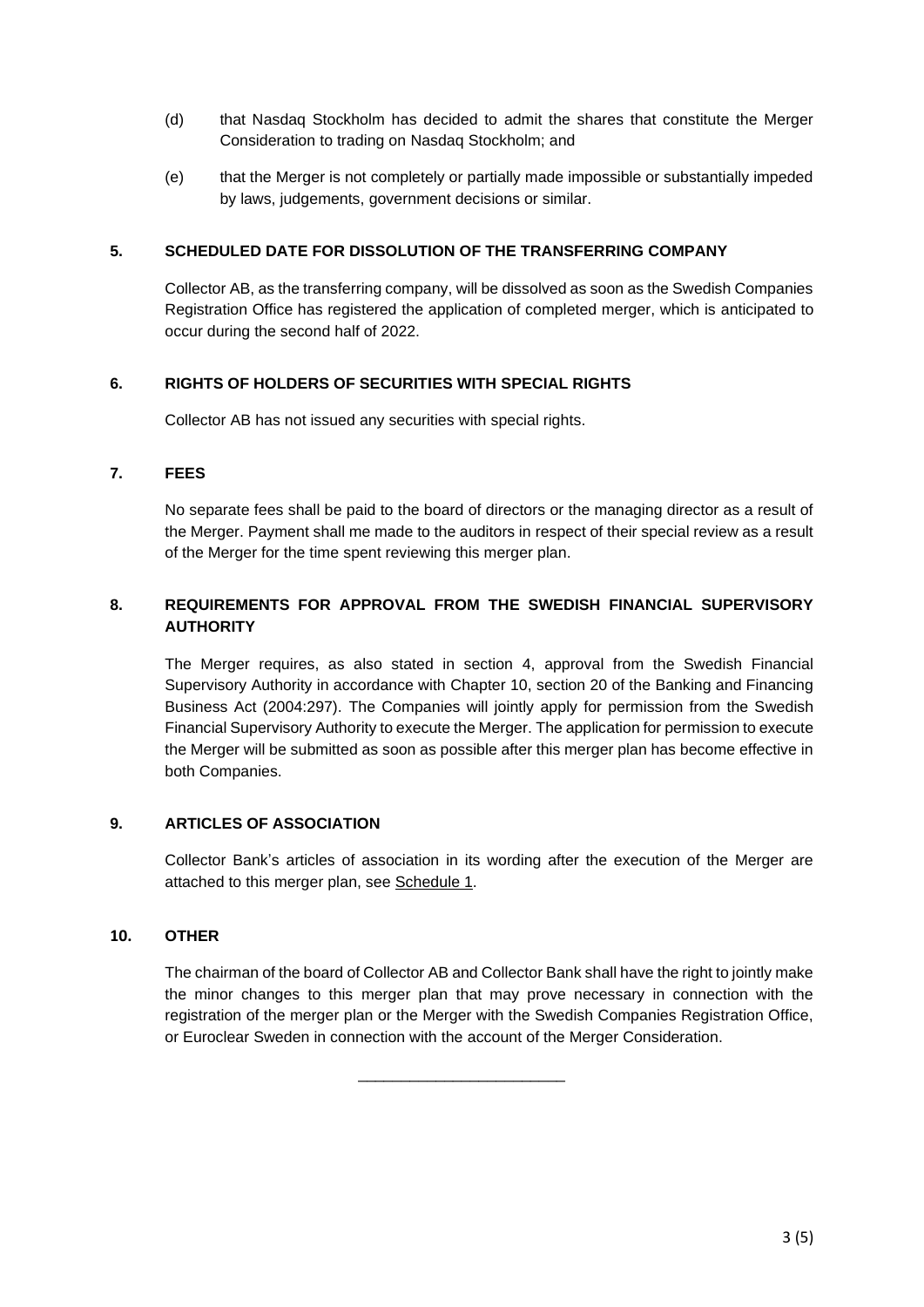- (d) that Nasdaq Stockholm has decided to admit the shares that constitute the Merger Consideration to trading on Nasdaq Stockholm; and
- (e) that the Merger is not completely or partially made impossible or substantially impeded by laws, judgements, government decisions or similar.

# <span id="page-2-0"></span>**5. SCHEDULED DATE FOR DISSOLUTION OF THE TRANSFERRING COMPANY**

Collector AB, as the transferring company, will be dissolved as soon as the Swedish Companies Registration Office has registered the application of completed merger, which is anticipated to occur during the second half of 2022.

# **6. RIGHTS OF HOLDERS OF SECURITIES WITH SPECIAL RIGHTS**

Collector AB has not issued any securities with special rights.

#### **7. FEES**

No separate fees shall be paid to the board of directors or the managing director as a result of the Merger. Payment shall me made to the auditors in respect of their special review as a result of the Merger for the time spent reviewing this merger plan.

# **8. REQUIREMENTS FOR APPROVAL FROM THE SWEDISH FINANCIAL SUPERVISORY AUTHORITY**

The Merger requires, as also stated in section [4,](#page-1-0) approval from the Swedish Financial Supervisory Authority in accordance with Chapter 10, section 20 of the Banking and Financing Business Act (2004:297). The Companies will jointly apply for permission from the Swedish Financial Supervisory Authority to execute the Merger. The application for permission to execute the Merger will be submitted as soon as possible after this merger plan has become effective in both Companies.

# **9. ARTICLES OF ASSOCIATION**

Collector Bank's articles of association in its wording after the execution of the Merger are attached to this merger plan, see Schedule 1.

#### **10. OTHER**

The chairman of the board of Collector AB and Collector Bank shall have the right to jointly make the minor changes to this merger plan that may prove necessary in connection with the registration of the merger plan or the Merger with the Swedish Companies Registration Office, or Euroclear Sweden in connection with the account of the Merger Consideration.

\_\_\_\_\_\_\_\_\_\_\_\_\_\_\_\_\_\_\_\_\_\_\_\_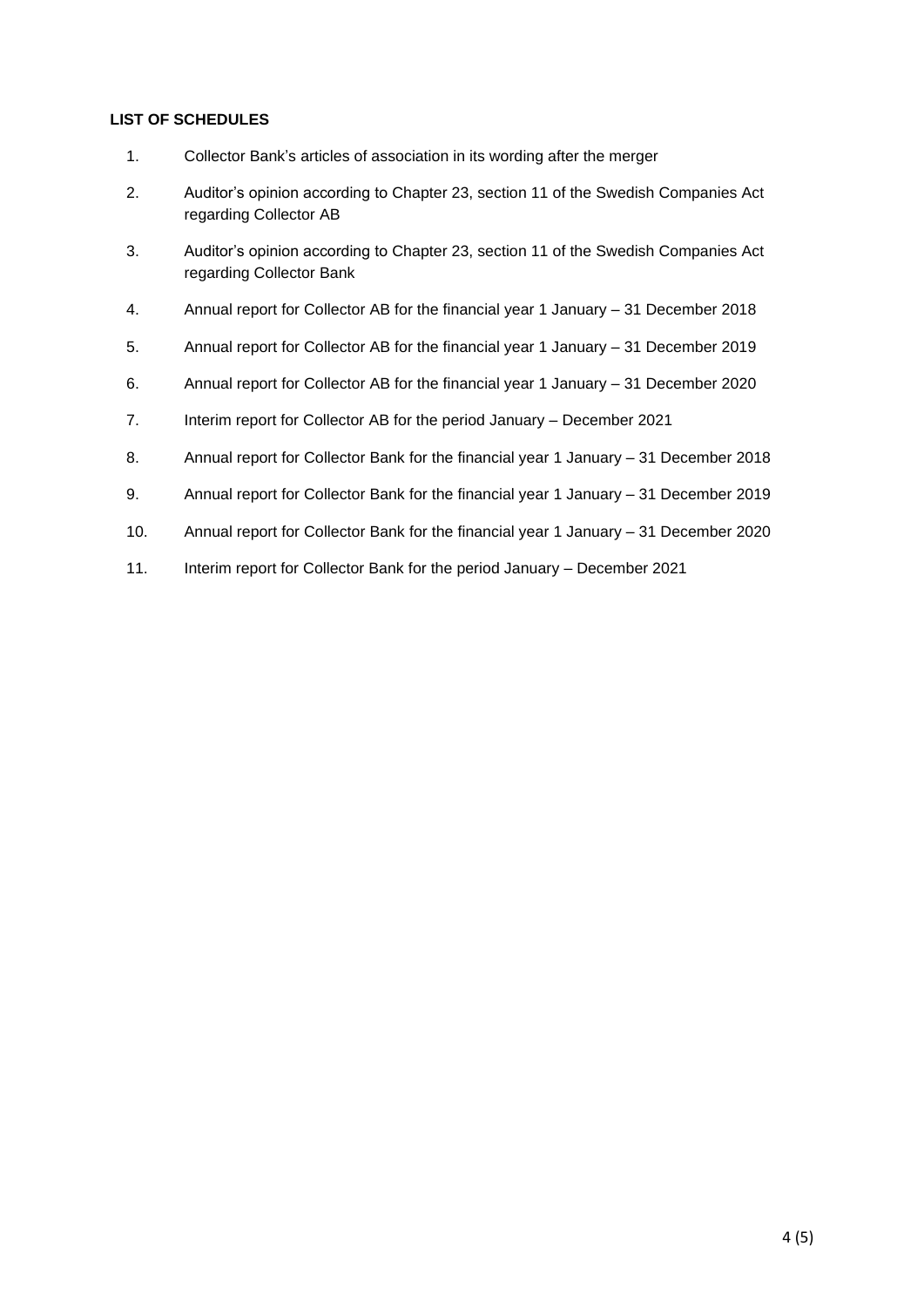# **LIST OF SCHEDULES**

- 1. Collector Bank's articles of association in its wording after the merger
- 2. Auditor's opinion according to Chapter 23, section 11 of the Swedish Companies Act regarding Collector AB
- 3. Auditor's opinion according to Chapter 23, section 11 of the Swedish Companies Act regarding Collector Bank
- 4. Annual report for Collector AB for the financial year 1 January 31 December 2018
- 5. Annual report for Collector AB for the financial year 1 January 31 December 2019
- 6. Annual report for Collector AB for the financial year 1 January 31 December 2020
- 7. Interim report for Collector AB for the period January December 2021
- 8. Annual report for Collector Bank for the financial year 1 January 31 December 2018
- 9. Annual report for Collector Bank for the financial year 1 January 31 December 2019
- 10. Annual report for Collector Bank for the financial year 1 January 31 December 2020
- 11. Interim report for Collector Bank for the period January December 2021